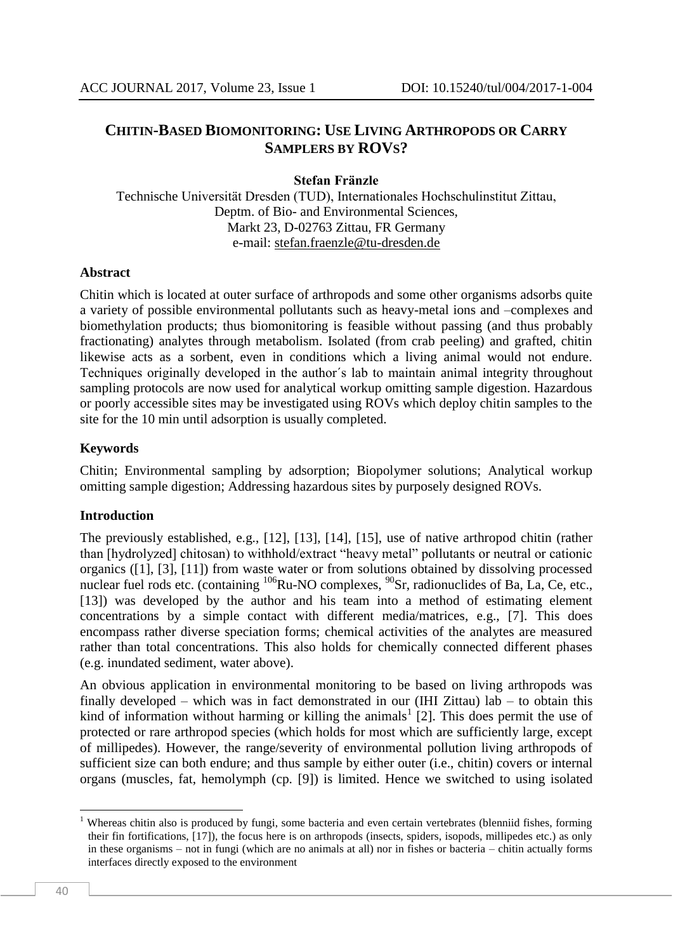# **CHITIN-BASED BIOMONITORING: USE LIVING ARTHROPODS OR CARRY SAMPLERS BY ROVS?**

**Stefan Fränzle**

Technische Universität Dresden (TUD), Internationales Hochschulinstitut Zittau, Deptm. of Bio- and Environmental Sciences, Markt 23, D-02763 Zittau, FR Germany e-mail: [stefan.fraenzle@tu-dresden.de](mailto:stefan.fraenzle@tu-dresden.de)

#### **Abstract**

Chitin which is located at outer surface of arthropods and some other organisms adsorbs quite a variety of possible environmental pollutants such as heavy-metal ions and –complexes and biomethylation products; thus biomonitoring is feasible without passing (and thus probably fractionating) analytes through metabolism. Isolated (from crab peeling) and grafted, chitin likewise acts as a sorbent, even in conditions which a living animal would not endure. Techniques originally developed in the author´s lab to maintain animal integrity throughout sampling protocols are now used for analytical workup omitting sample digestion. Hazardous or poorly accessible sites may be investigated using ROVs which deploy chitin samples to the site for the 10 min until adsorption is usually completed.

### **Keywords**

Chitin; Environmental sampling by adsorption; Biopolymer solutions; Analytical workup omitting sample digestion; Addressing hazardous sites by purposely designed ROVs.

### **Introduction**

The previously established, e.g., [12], [13], [14], [15], use of native arthropod chitin (rather than [hydrolyzed] chitosan) to withhold/extract "heavy metal" pollutants or neutral or cationic organics ([1], [3], [11]) from waste water or from solutions obtained by dissolving processed nuclear fuel rods etc. (containing  $^{106}Ru-NO$  complexes,  $^{90}Sr$ , radionuclides of Ba, La, Ce, etc., [13]) was developed by the author and his team into a method of estimating element concentrations by a simple contact with different media/matrices, e.g., [7]. This does encompass rather diverse speciation forms; chemical activities of the analytes are measured rather than total concentrations. This also holds for chemically connected different phases (e.g. inundated sediment, water above).

An obvious application in environmental monitoring to be based on living arthropods was finally developed – which was in fact demonstrated in our (IHI Zittau) lab – to obtain this kind of information without harming or killing the animals<sup>1</sup> [2]. This does permit the use of protected or rare arthropod species (which holds for most which are sufficiently large, except of millipedes). However, the range/severity of environmental pollution living arthropods of sufficient size can both endure; and thus sample by either outer (i.e., chitin) covers or internal organs (muscles, fat, hemolymph (cp. [9]) is limited. Hence we switched to using isolated

**.** 

<sup>&</sup>lt;sup>1</sup> Whereas chitin also is produced by fungi, some bacteria and even certain vertebrates (blenniid fishes, forming their fin fortifications, [17]), the focus here is on arthropods (insects, spiders, isopods, millipedes etc.) as only in these organisms – not in fungi (which are no animals at all) nor in fishes or bacteria – chitin actually forms interfaces directly exposed to the environment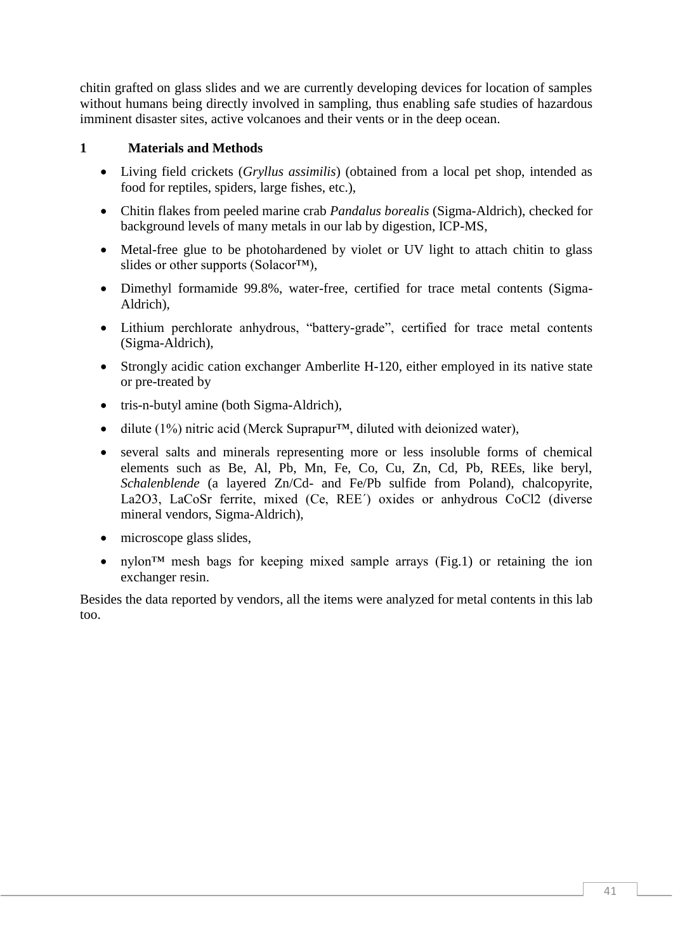chitin grafted on glass slides and we are currently developing devices for location of samples without humans being directly involved in sampling, thus enabling safe studies of hazardous imminent disaster sites, active volcanoes and their vents or in the deep ocean.

# **1 Materials and Methods**

- Living field crickets (*Gryllus assimilis*) (obtained from a local pet shop, intended as food for reptiles, spiders, large fishes, etc.),
- Chitin flakes from peeled marine crab *Pandalus borealis* (Sigma-Aldrich), checked for background levels of many metals in our lab by digestion, ICP-MS,
- Metal-free glue to be photohardened by violet or UV light to attach chitin to glass slides or other supports (Solacor™),
- Dimethyl formamide 99.8%, water-free, certified for trace metal contents (Sigma-Aldrich),
- Lithium perchlorate anhydrous, "battery-grade", certified for trace metal contents (Sigma-Aldrich),
- Strongly acidic cation exchanger Amberlite H-120, either employed in its native state or pre-treated by
- tris-n-butyl amine (both Sigma-Aldrich),
- dilute (1%) nitric acid (Merck Suprapur<sup>TM</sup>, diluted with deionized water),
- several salts and minerals representing more or less insoluble forms of chemical elements such as Be, Al, Pb, Mn, Fe, Co, Cu, Zn, Cd, Pb, REEs, like beryl, *Schalenblende* (a layered Zn/Cd- and Fe/Pb sulfide from Poland), chalcopyrite, La2O3, LaCoSr ferrite, mixed (Ce, REE´) oxides or anhydrous CoCl2 (diverse mineral vendors, Sigma-Aldrich),
- microscope glass slides,
- nylon<sup>™</sup> mesh bags for keeping mixed sample arrays (Fig.1) or retaining the ion exchanger resin.

Besides the data reported by vendors, all the items were analyzed for metal contents in this lab too.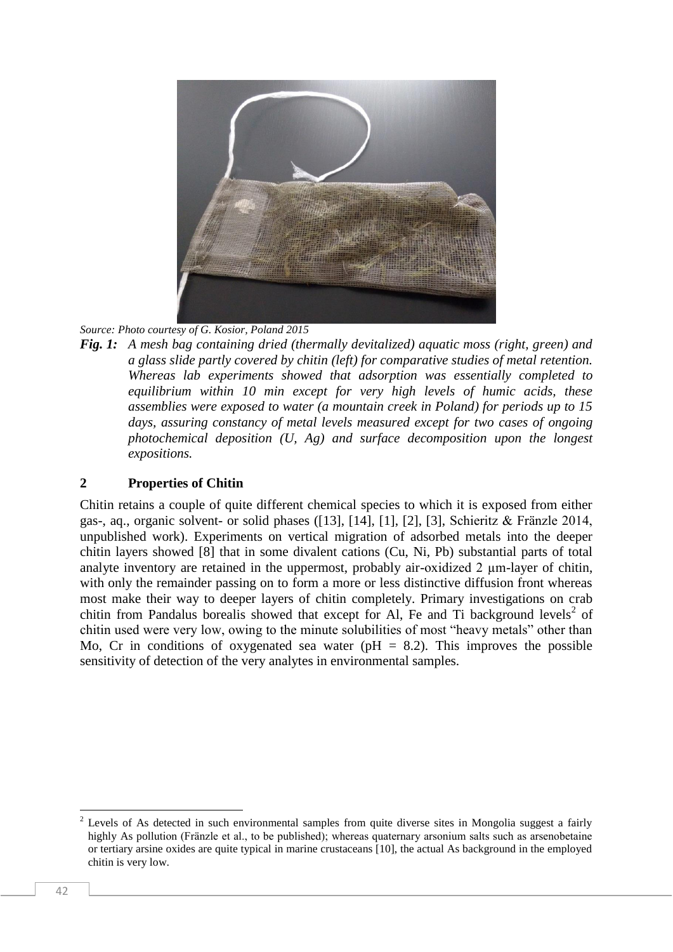

*Source: Photo courtesy of G. Kosior, Poland 2015*

*Fig. 1: A mesh bag containing dried (thermally devitalized) aquatic moss (right, green) and a glass slide partly covered by chitin (left) for comparative studies of metal retention. Whereas lab experiments showed that adsorption was essentially completed to equilibrium within 10 min except for very high levels of humic acids, these assemblies were exposed to water (a mountain creek in Poland) for periods up to 15 days, assuring constancy of metal levels measured except for two cases of ongoing photochemical deposition (U, Ag) and surface decomposition upon the longest expositions.*

## **2 Properties of Chitin**

Chitin retains a couple of quite different chemical species to which it is exposed from either gas-, aq., organic solvent- or solid phases ([13], [14], [1], [2], [3], Schieritz & Fränzle 2014, unpublished work). Experiments on vertical migration of adsorbed metals into the deeper chitin layers showed [8] that in some divalent cations (Cu, Ni, Pb) substantial parts of total analyte inventory are retained in the uppermost, probably air-oxidized 2 um-layer of chitin, with only the remainder passing on to form a more or less distinctive diffusion front whereas most make their way to deeper layers of chitin completely. Primary investigations on crab chitin from Pandalus borealis showed that except for Al, Fe and Ti background levels<sup>2</sup> of chitin used were very low, owing to the minute solubilities of most "heavy metals" other than Mo, Cr in conditions of oxygenated sea water ( $pH = 8.2$ ). This improves the possible sensitivity of detection of the very analytes in environmental samples.

 $\overline{c}$ Levels of As detected in such environmental samples from quite diverse sites in Mongolia suggest a fairly highly As pollution (Fränzle et al., to be published); whereas quaternary arsonium salts such as arsenobetaine or tertiary arsine oxides are quite typical in marine crustaceans [10], the actual As background in the employed chitin is very low.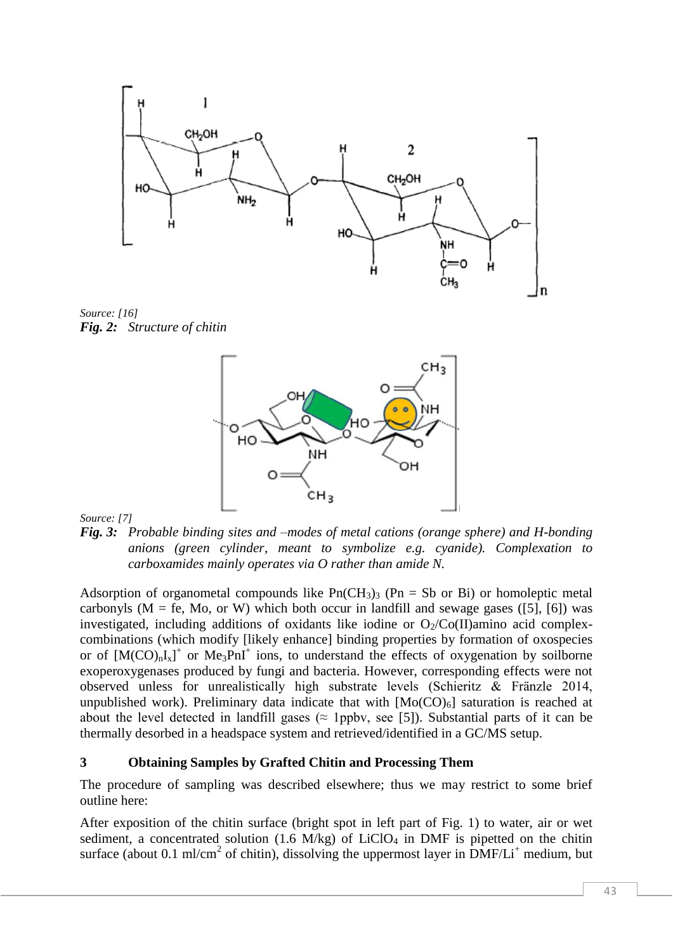

*Source: [16] Fig. 2: Structure of chitin*



*Source: [7]*

*Fig. 3: Probable binding sites and –modes of metal cations (orange sphere) and H-bonding anions (green cylinder, meant to symbolize e.g. cyanide). Complexation to carboxamides mainly operates via O rather than amide N.*

Adsorption of organometal compounds like  $Pn(CH_3)$ <sub>3</sub> (Pn = Sb or Bi) or homoleptic metal carbonyls ( $M = fe$ , Mo, or W) which both occur in landfill and sewage gases ([5], [6]) was investigated, including additions of oxidants like iodine or  $O_2/Co(II)$ amino acid complexcombinations (which modify [likely enhance] binding properties by formation of oxospecies or of  $[M(CO)_nI_x]^+$  or  $Me_3PnI^+$  ions, to understand the effects of oxygenation by soilborne exoperoxygenases produced by fungi and bacteria. However, corresponding effects were not observed unless for unrealistically high substrate levels (Schieritz & Fränzle 2014, unpublished work). Preliminary data indicate that with  $[Mo(CO)<sub>6</sub>]$  saturation is reached at about the level detected in landfill gases ( $\approx$  1ppbv, see [5]). Substantial parts of it can be thermally desorbed in a headspace system and retrieved/identified in a GC/MS setup.

### **3 Obtaining Samples by Grafted Chitin and Processing Them**

The procedure of sampling was described elsewhere; thus we may restrict to some brief outline here:

After exposition of the chitin surface (bright spot in left part of Fig. 1) to water, air or wet sediment, a concentrated solution (1.6 M/kg) of  $LiClO<sub>4</sub>$  in DMF is pipetted on the chitin surface (about 0.1 ml/cm<sup>2</sup> of chitin), dissolving the uppermost layer in  $\overline{DMF/Li}^+$  medium, but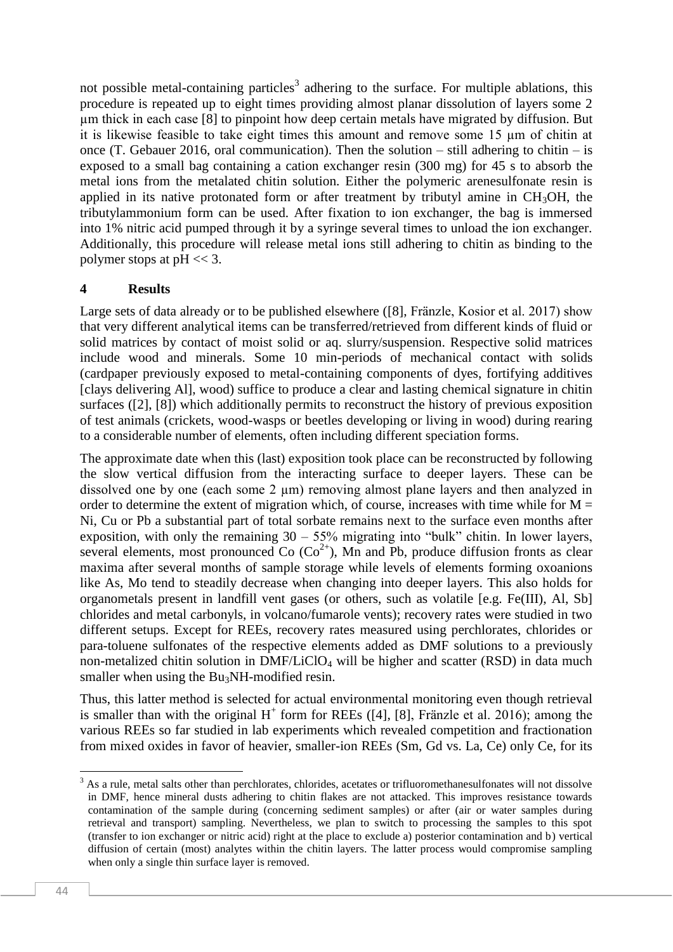not possible metal-containing particles<sup>3</sup> adhering to the surface. For multiple ablations, this procedure is repeated up to eight times providing almost planar dissolution of layers some 2 µm thick in each case [8] to pinpoint how deep certain metals have migrated by diffusion. But it is likewise feasible to take eight times this amount and remove some 15 µm of chitin at once (T. Gebauer 2016, oral communication). Then the solution – still adhering to chitin – is exposed to a small bag containing a cation exchanger resin (300 mg) for 45 s to absorb the metal ions from the metalated chitin solution. Either the polymeric arenesulfonate resin is applied in its native protonated form or after treatment by tributyl amine in  $CH<sub>3</sub>OH$ , the tributylammonium form can be used. After fixation to ion exchanger, the bag is immersed into 1% nitric acid pumped through it by a syringe several times to unload the ion exchanger. Additionally, this procedure will release metal ions still adhering to chitin as binding to the polymer stops at pH << 3.

### **4 Results**

Large sets of data already or to be published elsewhere ([8], Fränzle, Kosior et al. 2017) show that very different analytical items can be transferred/retrieved from different kinds of fluid or solid matrices by contact of moist solid or aq. slurry/suspension. Respective solid matrices include wood and minerals. Some 10 min-periods of mechanical contact with solids (cardpaper previously exposed to metal-containing components of dyes, fortifying additives [clays delivering Al], wood) suffice to produce a clear and lasting chemical signature in chitin surfaces ([2], [8]) which additionally permits to reconstruct the history of previous exposition of test animals (crickets, wood-wasps or beetles developing or living in wood) during rearing to a considerable number of elements, often including different speciation forms.

The approximate date when this (last) exposition took place can be reconstructed by following the slow vertical diffusion from the interacting surface to deeper layers. These can be dissolved one by one (each some 2  $\mu$ m) removing almost plane layers and then analyzed in order to determine the extent of migration which, of course, increases with time while for  $M =$ Ni, Cu or Pb a substantial part of total sorbate remains next to the surface even months after exposition, with only the remaining  $30 - 55\%$  migrating into "bulk" chitin. In lower layers, several elements, most pronounced Co  $(Co^{2+})$ , Mn and Pb, produce diffusion fronts as clear maxima after several months of sample storage while levels of elements forming oxoanions like As, Mo tend to steadily decrease when changing into deeper layers. This also holds for organometals present in landfill vent gases (or others, such as volatile [e.g. Fe(III), Al, Sb] chlorides and metal carbonyls, in volcano/fumarole vents); recovery rates were studied in two different setups. Except for REEs, recovery rates measured using perchlorates, chlorides or para-toluene sulfonates of the respective elements added as DMF solutions to a previously non-metalized chitin solution in  $DMF/LiClO<sub>4</sub>$  will be higher and scatter (RSD) in data much smaller when using the Bu<sub>3</sub>NH-modified resin.

Thus, this latter method is selected for actual environmental monitoring even though retrieval is smaller than with the original  $H^+$  form for REEs ([4], [8], Fränzle et al. 2016); among the various REEs so far studied in lab experiments which revealed competition and fractionation from mixed oxides in favor of heavier, smaller-ion REEs (Sm, Gd vs. La, Ce) only Ce, for its

**<sup>.</sup>**  $3$  As a rule, metal salts other than perchlorates, chlorides, acetates or trifluoromethanesulfonates will not dissolve in DMF, hence mineral dusts adhering to chitin flakes are not attacked. This improves resistance towards contamination of the sample during (concerning sediment samples) or after (air or water samples during retrieval and transport) sampling. Nevertheless, we plan to switch to processing the samples to this spot (transfer to ion exchanger or nitric acid) right at the place to exclude a) posterior contamination and b) vertical diffusion of certain (most) analytes within the chitin layers. The latter process would compromise sampling when only a single thin surface layer is removed.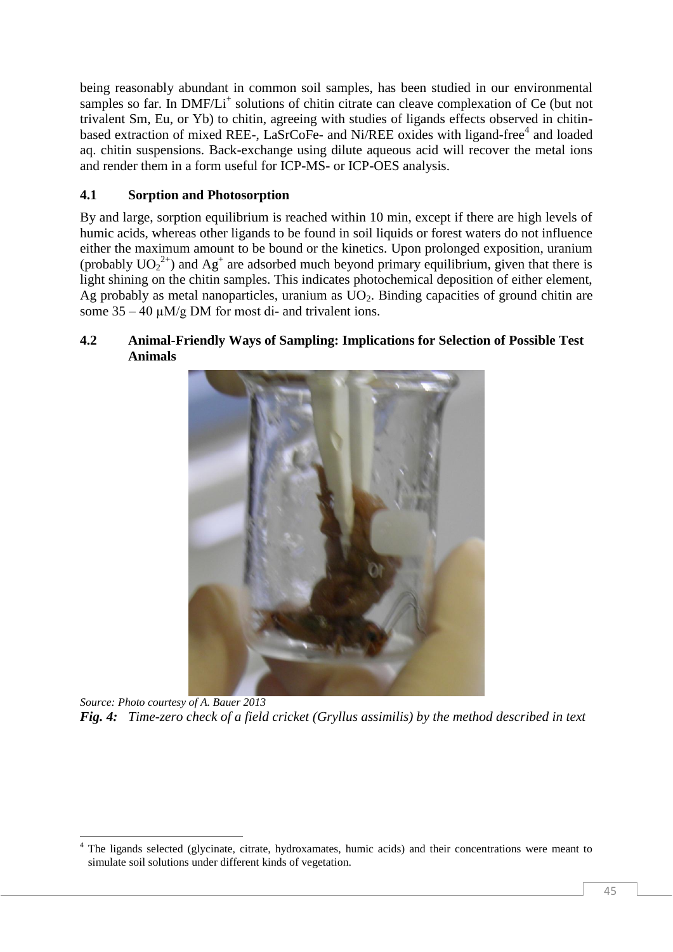being reasonably abundant in common soil samples, has been studied in our environmental samples so far. In DMF/Li<sup>+</sup> solutions of chitin citrate can cleave complexation of Ce (but not trivalent Sm, Eu, or Yb) to chitin, agreeing with studies of ligands effects observed in chitinbased extraction of mixed REE-, LaSrCoFe- and Ni/REE oxides with ligand-free<sup>4</sup> and loaded aq. chitin suspensions. Back-exchange using dilute aqueous acid will recover the metal ions and render them in a form useful for ICP-MS- or ICP-OES analysis.

# **4.1 Sorption and Photosorption**

1

By and large, sorption equilibrium is reached within 10 min, except if there are high levels of humic acids, whereas other ligands to be found in soil liquids or forest waters do not influence either the maximum amount to be bound or the kinetics. Upon prolonged exposition, uranium (probably  $UO_2^{2+}$ ) and  $Ag^+$  are adsorbed much beyond primary equilibrium, given that there is light shining on the chitin samples. This indicates photochemical deposition of either element, Ag probably as metal nanoparticles, uranium as  $UO<sub>2</sub>$ . Binding capacities of ground chitin are some  $35 - 40 \mu M/g DM$  for most di- and trivalent ions.

## **4.2 Animal-Friendly Ways of Sampling: Implications for Selection of Possible Test Animals**



*Source: Photo courtesy of A. Bauer 2013 Fig. 4: Time-zero check of a field cricket (Gryllus assimilis) by the method described in text*

<sup>4</sup> The ligands selected (glycinate, citrate, hydroxamates, humic acids) and their concentrations were meant to simulate soil solutions under different kinds of vegetation.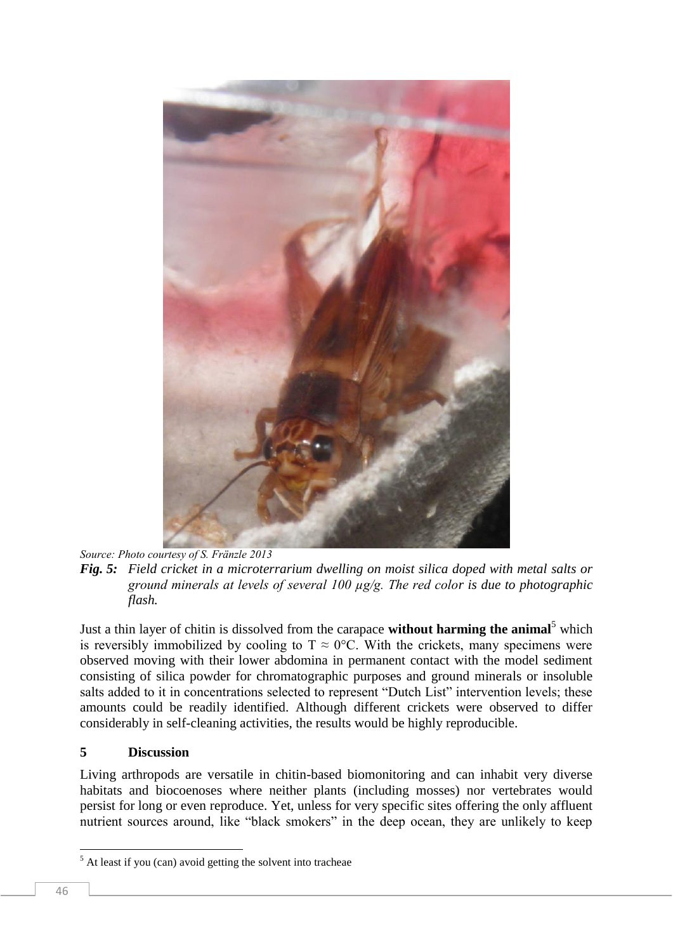

*Source: Photo courtesy of S. Fränzle 2013*

Just a thin layer of chitin is dissolved from the carapace **without harming the animal**<sup>5</sup> which is reversibly immobilized by cooling to  $T \approx 0^{\circ}C$ . With the crickets, many specimens were observed moving with their lower abdomina in permanent contact with the model sediment consisting of silica powder for chromatographic purposes and ground minerals or insoluble salts added to it in concentrations selected to represent "Dutch List" intervention levels; these amounts could be readily identified. Although different crickets were observed to differ considerably in self-cleaning activities, the results would be highly reproducible.

## **5 Discussion**

Living arthropods are versatile in chitin-based biomonitoring and can inhabit very diverse habitats and biocoenoses where neither plants (including mosses) nor vertebrates would persist for long or even reproduce. Yet, unless for very specific sites offering the only affluent nutrient sources around, like "black smokers" in the deep ocean, they are unlikely to keep

**.** 

*Fig. 5: Field cricket in a microterrarium dwelling on moist silica doped with metal salts or ground minerals at levels of several 100 µg/g. The red color is due to photographic flash.*

 $<sup>5</sup>$  At least if you (can) avoid getting the solvent into tracheae</sup>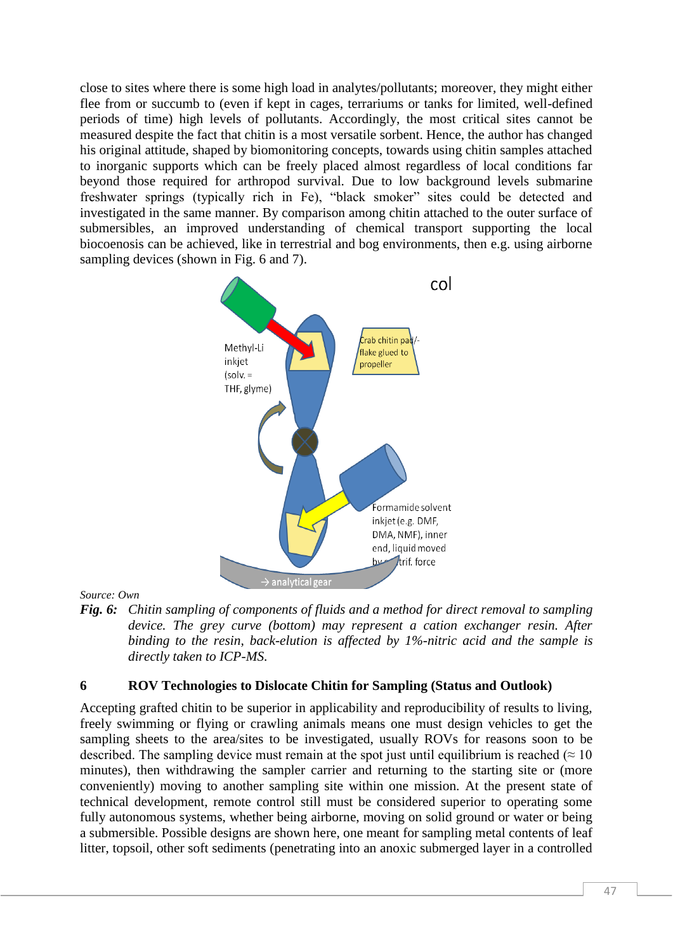close to sites where there is some high load in analytes/pollutants; moreover, they might either flee from or succumb to (even if kept in cages, terrariums or tanks for limited, well-defined periods of time) high levels of pollutants. Accordingly, the most critical sites cannot be measured despite the fact that chitin is a most versatile sorbent. Hence, the author has changed his original attitude, shaped by biomonitoring concepts, towards using chitin samples attached to inorganic supports which can be freely placed almost regardless of local conditions far beyond those required for arthropod survival. Due to low background levels submarine freshwater springs (typically rich in Fe), "black smoker" sites could be detected and investigated in the same manner. By comparison among chitin attached to the outer surface of submersibles, an improved understanding of chemical transport supporting the local biocoenosis can be achieved, like in terrestrial and bog environments, then e.g. using airborne sampling devices (shown in Fig. 6 and 7).



#### *Source: Own*

*Fig. 6: Chitin sampling of components of fluids and a method for direct removal to sampling device. The grey curve (bottom) may represent a cation exchanger resin. After binding to the resin, back-elution is affected by 1%-nitric acid and the sample is directly taken to ICP-MS.*

### **6 ROV Technologies to Dislocate Chitin for Sampling (Status and Outlook)**

Accepting grafted chitin to be superior in applicability and reproducibility of results to living, freely swimming or flying or crawling animals means one must design vehicles to get the sampling sheets to the area/sites to be investigated, usually ROVs for reasons soon to be described. The sampling device must remain at the spot just until equilibrium is reached ( $\approx 10$ ) minutes), then withdrawing the sampler carrier and returning to the starting site or (more conveniently) moving to another sampling site within one mission. At the present state of technical development, remote control still must be considered superior to operating some fully autonomous systems, whether being airborne, moving on solid ground or water or being a submersible. Possible designs are shown here, one meant for sampling metal contents of leaf litter, topsoil, other soft sediments (penetrating into an anoxic submerged layer in a controlled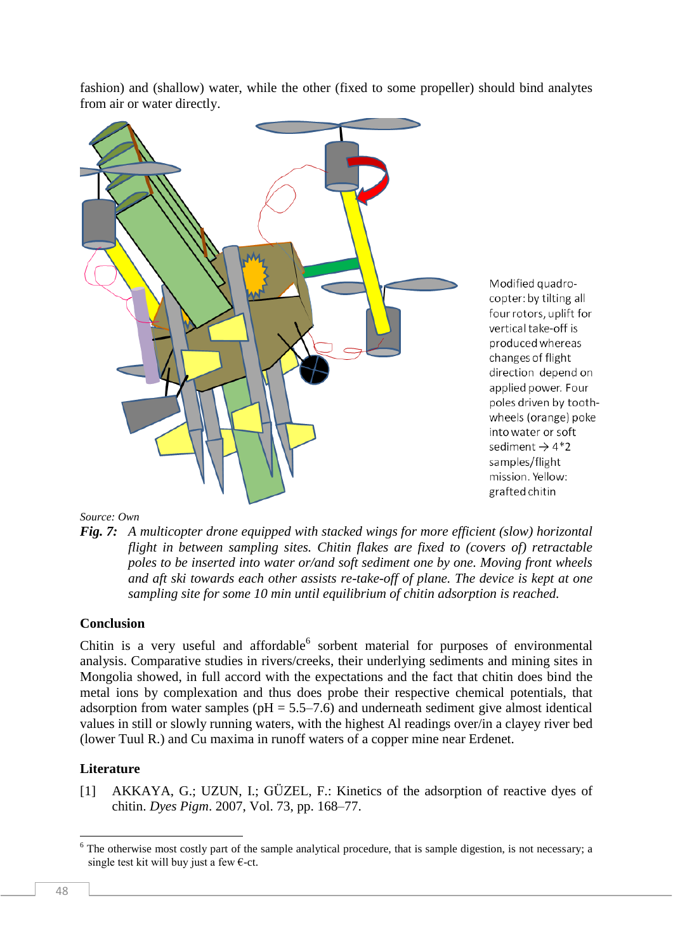fashion) and (shallow) water, while the other (fixed to some propeller) should bind analytes from air or water directly.



Modified quadrocopter: by tilting all four rotors, uplift for vertical take-off is produced whereas changes of flight direction depend on applied power. Four poles driven by toothwheels (orange) poke into water or soft sediment  $\rightarrow$  4\*2 samples/flight mission. Yellow: grafted chitin

#### *Source: Own*

*Fig. 7: A multicopter drone equipped with stacked wings for more efficient (slow) horizontal flight in between sampling sites. Chitin flakes are fixed to (covers of) retractable poles to be inserted into water or/and soft sediment one by one. Moving front wheels and aft ski towards each other assists re-take-off of plane. The device is kept at one sampling site for some 10 min until equilibrium of chitin adsorption is reached.*

### **Conclusion**

Chitin is a very useful and affordable  $6$  sorbent material for purposes of environmental analysis. Comparative studies in rivers/creeks, their underlying sediments and mining sites in Mongolia showed, in full accord with the expectations and the fact that chitin does bind the metal ions by complexation and thus does probe their respective chemical potentials, that adsorption from water samples ( $pH = 5.5-7.6$ ) and underneath sediment give almost identical values in still or slowly running waters, with the highest Al readings over/in a clayey river bed (lower Tuul R.) and Cu maxima in runoff waters of a copper mine near Erdenet.

### **Literature**

[1] AKKAYA, G.; UZUN, I.; GÜZEL, F.: Kinetics of the adsorption of reactive dyes of chitin. *Dyes Pigm*. 2007, Vol. 73, pp. 168–77.

1

 $6$  The otherwise most costly part of the sample analytical procedure, that is sample digestion, is not necessary; a single test kit will buy just a few  $\epsilon$ -ct.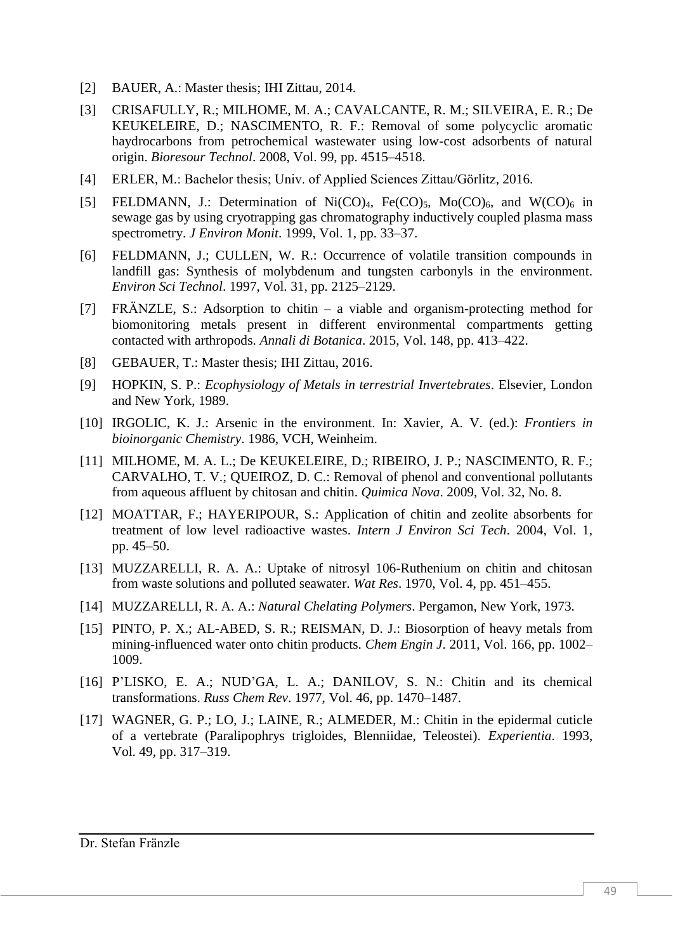- [2] BAUER, A.: Master thesis; IHI Zittau, 2014.
- [3] CRISAFULLY, R.; MILHOME, M. A.; CAVALCANTE, R. M.; SILVEIRA, E. R.; De KEUKELEIRE, D.; NASCIMENTO, R. F.: Removal of some polycyclic aromatic haydrocarbons from petrochemical wastewater using low-cost adsorbents of natural origin. *Bioresour Technol*. 2008, Vol. 99, pp. 4515–4518.
- [4] ERLER, M.: Bachelor thesis; Univ. of Applied Sciences Zittau/Görlitz, 2016.
- [5] FELDMANN, J.: Determination of Ni(CO)<sub>4</sub>, Fe(CO)<sub>5</sub>, Mo(CO)<sub>6</sub>, and W(CO)<sub>6</sub> in sewage gas by using cryotrapping gas chromatography inductively coupled plasma mass spectrometry. *J Environ Monit*. 1999, Vol. 1, pp. 33–37.
- [6] FELDMANN, J.; CULLEN, W. R.: Occurrence of volatile transition compounds in landfill gas: Synthesis of molybdenum and tungsten carbonyls in the environment. *Environ Sci Technol*. 1997, Vol. 31, pp. 2125–2129.
- [7] FRÄNZLE, S.: Adsorption to chitin a viable and organism-protecting method for biomonitoring metals present in different environmental compartments getting contacted with arthropods. *Annali di Botanica*. 2015, Vol. 148, pp. 413–422.
- [8] GEBAUER, T.: Master thesis; IHI Zittau, 2016.
- [9] HOPKIN, S. P.: *Ecophysiology of Metals in terrestrial Invertebrates*. Elsevier, London and New York, 1989.
- [10] IRGOLIC, K. J.: Arsenic in the environment. In: Xavier, A. V. (ed.): *Frontiers in bioinorganic Chemistry*. 1986, VCH, Weinheim.
- [11] MILHOME, M. A. L.; De KEUKELEIRE, D.; RIBEIRO, J. P.; NASCIMENTO, R. F.; CARVALHO, T. V.; QUEIROZ, D. C.: Removal of phenol and conventional pollutants from aqueous affluent by chitosan and chitin. *Quimica Nova*. 2009, Vol. 32, No. 8.
- [12] MOATTAR, F.; HAYERIPOUR, S.: Application of chitin and zeolite absorbents for treatment of low level radioactive wastes. *Intern J Environ Sci Tech*. 2004, Vol. 1, pp. 45–50.
- [13] MUZZARELLI, R. A. A.: Uptake of nitrosyl 106-Ruthenium on chitin and chitosan from waste solutions and polluted seawater. *Wat Res*. 1970, Vol. 4, pp. 451–455.
- [14] MUZZARELLI, R. A. A.: *Natural Chelating Polymers*. Pergamon, New York, 1973.
- [15] PINTO, P. X.; AL-ABED, S. R.; REISMAN, D. J.: Biosorption of heavy metals from mining-influenced water onto chitin products. *Chem Engin J*. 2011, Vol. 166, pp. 1002– 1009.
- [16] P'LISKO, E. A.; NUD'GA, L. A.; DANILOV, S. N.: Chitin and its chemical transformations. *Russ Chem Rev*. 1977, Vol. 46, pp. 1470–1487.
- [17] WAGNER, G. P.; LO, J.; LAINE, R.; ALMEDER, M.: Chitin in the epidermal cuticle of a vertebrate (Paralipophrys trigloides, Blenniidae, Teleostei). *Experientia*. 1993, Vol. 49, pp. 317–319.